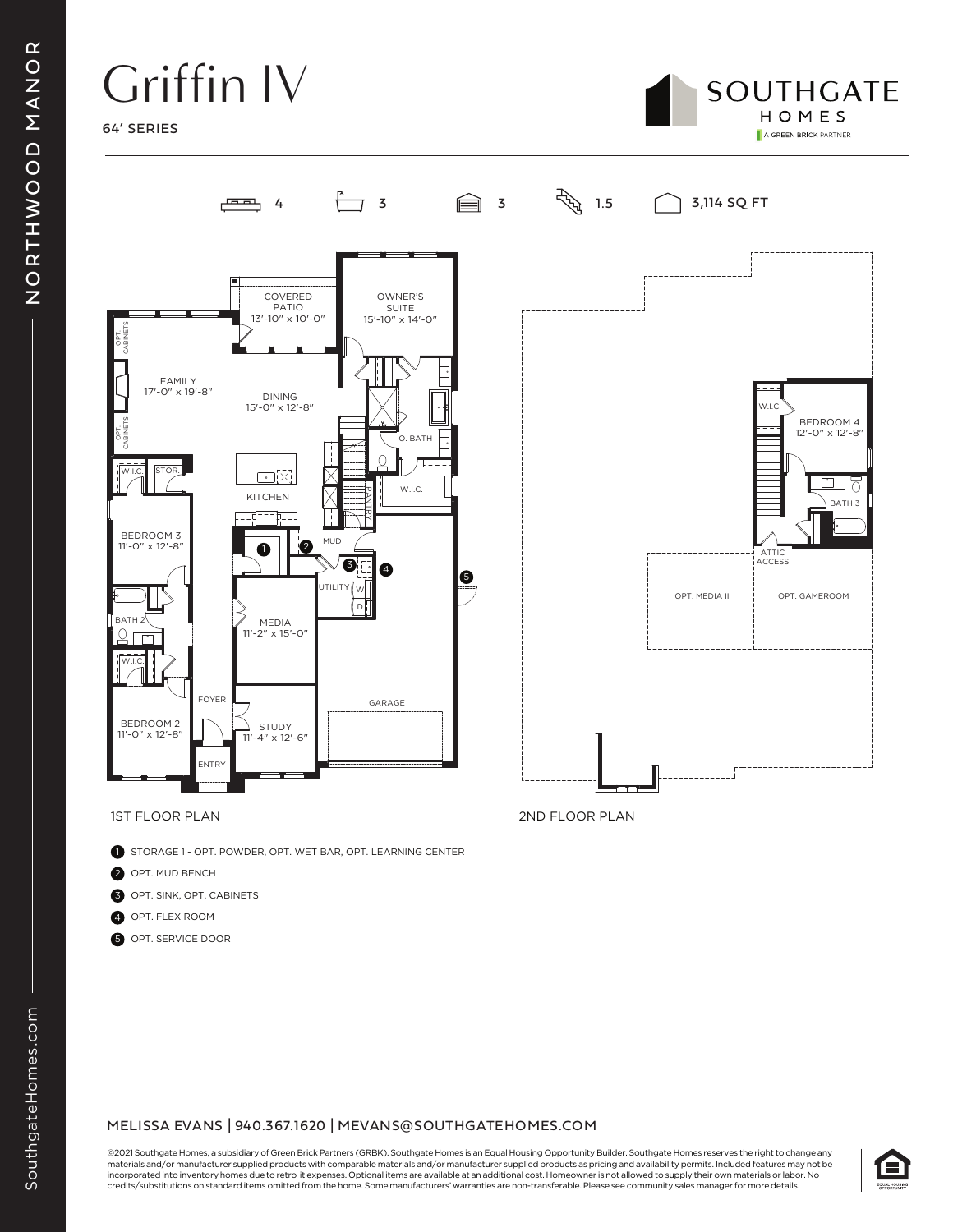## Griffin IV

64' SERIES





- **B** STORAGE 1 OPT. POWDER, OPT. WET BAR, OPT. LEARNING CENTER
- 2 OPT. MUD BENCH
- 3 OPT. SINK, OPT. CABINETS
- 4 OPT. FLEX ROOM
- 5 OPT. SERVICE DOOR

#### MELISSA EVANS | 940.367.1620 | MEVANS@SOUTHGATEHOMES.COM

©2021 Southgate Homes, a subsidiary of Green Brick Partners (GRBK). Southgate Homes is an Equal Housing Opportunity Builder. Southgate Homes reserves the right to change any materials and/or manufacturer supplied products with comparable materials and/or manufacturer supplied products as pricing and availability permits. Included features may not be incorporated into inventory homes due to retro it expenses. Optional items are available at an additional cost. Homeowner is not allowed to supply their own materials or labor. No credits/substitutions on standard items omitted from the home. Some manufacturers' warranties are non-transferable. Please see community sales manager for more details.